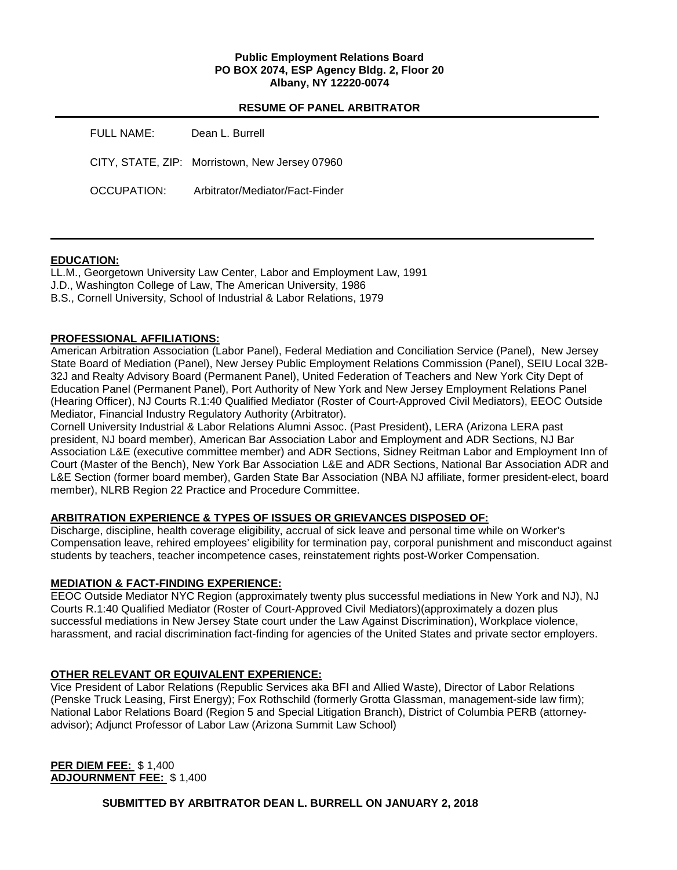# **Public Employment Relations Board PO BOX 2074, ESP Agency Bldg. 2, Floor 20 Albany, NY 12220-0074**

# **RESUME OF PANEL ARBITRATOR**

| FULL NAME:  | Dean L. Burrell                                |
|-------------|------------------------------------------------|
|             | CITY, STATE, ZIP: Morristown, New Jersey 07960 |
| OCCUPATION: | Arbitrator/Mediator/Fact-Finder                |

# **EDUCATION:**

LL.M., Georgetown University Law Center, Labor and Employment Law, 1991 J.D., Washington College of Law, The American University, 1986 B.S., Cornell University, School of Industrial & Labor Relations, 1979

# **PROFESSIONAL AFFILIATIONS:**

American Arbitration Association (Labor Panel), Federal Mediation and Conciliation Service (Panel), New Jersey State Board of Mediation (Panel), New Jersey Public Employment Relations Commission (Panel), SEIU Local 32B-32J and Realty Advisory Board (Permanent Panel), United Federation of Teachers and New York City Dept of Education Panel (Permanent Panel), Port Authority of New York and New Jersey Employment Relations Panel (Hearing Officer), NJ Courts R.1:40 Qualified Mediator (Roster of Court-Approved Civil Mediators), EEOC Outside Mediator, Financial Industry Regulatory Authority (Arbitrator).

Cornell University Industrial & Labor Relations Alumni Assoc. (Past President), LERA (Arizona LERA past president, NJ board member), American Bar Association Labor and Employment and ADR Sections, NJ Bar Association L&E (executive committee member) and ADR Sections, Sidney Reitman Labor and Employment Inn of Court (Master of the Bench), New York Bar Association L&E and ADR Sections, National Bar Association ADR and L&E Section (former board member), Garden State Bar Association (NBA NJ affiliate, former president-elect, board member), NLRB Region 22 Practice and Procedure Committee.

# **ARBITRATION EXPERIENCE & TYPES OF ISSUES OR GRIEVANCES DISPOSED OF:**

Discharge, discipline, health coverage eligibility, accrual of sick leave and personal time while on Worker's Compensation leave, rehired employees' eligibility for termination pay, corporal punishment and misconduct against students by teachers, teacher incompetence cases, reinstatement rights post-Worker Compensation.

# **MEDIATION & FACT-FINDING EXPERIENCE:**

EEOC Outside Mediator NYC Region (approximately twenty plus successful mediations in New York and NJ), NJ Courts R.1:40 Qualified Mediator (Roster of Court-Approved Civil Mediators)(approximately a dozen plus successful mediations in New Jersey State court under the Law Against Discrimination), Workplace violence, harassment, and racial discrimination fact-finding for agencies of the United States and private sector employers.

# **OTHER RELEVANT OR EQUIVALENT EXPERIENCE:**

Vice President of Labor Relations (Republic Services aka BFI and Allied Waste), Director of Labor Relations (Penske Truck Leasing, First Energy); Fox Rothschild (formerly Grotta Glassman, management-side law firm); National Labor Relations Board (Region 5 and Special Litigation Branch), District of Columbia PERB (attorneyadvisor); Adjunct Professor of Labor Law (Arizona Summit Law School)

**PER DIEM FEE:** \$ 1,400 **ADJOURNMENT FEE:** \$ 1,400

**SUBMITTED BY ARBITRATOR DEAN L. BURRELL ON JANUARY 2, 2018**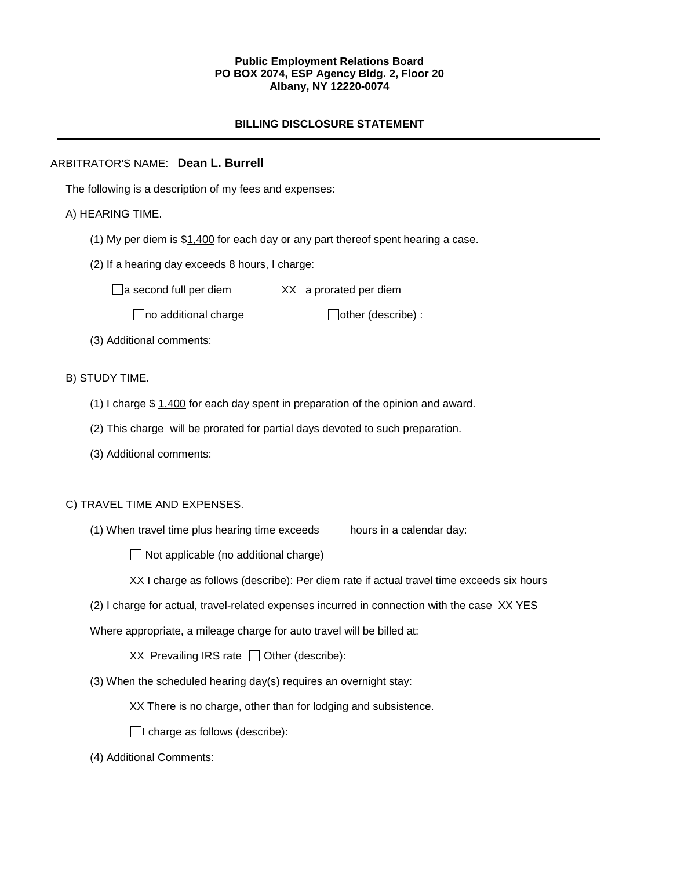# **Public Employment Relations Board PO BOX 2074, ESP Agency Bldg. 2, Floor 20 Albany, NY 12220-0074**

# **BILLING DISCLOSURE STATEMENT**

# ARBITRATOR'S NAME: **Dean L. Burrell**

The following is a description of my fees and expenses:

# A) HEARING TIME.

- (1) My per diem is  $$1,400$  for each day or any part thereof spent hearing a case.
- (2) If a hearing day exceeds 8 hours, I charge:

 $\Box$ a second full per diem XX a prorated per diem

 $\Box$ no additional charge  $\Box$ other (describe) :

(3) Additional comments:

#### B) STUDY TIME.

- (1) I charge \$ 1,400 for each day spent in preparation of the opinion and award.
- (2) This charge will be prorated for partial days devoted to such preparation.
- (3) Additional comments:

### C) TRAVEL TIME AND EXPENSES.

(1) When travel time plus hearing time exceeds hours in a calendar day:

 $\Box$  Not applicable (no additional charge)

XX I charge as follows (describe): Per diem rate if actual travel time exceeds six hours

(2) I charge for actual, travel-related expenses incurred in connection with the case XX YES

Where appropriate, a mileage charge for auto travel will be billed at:

XX Prevailing IRS rate  $\Box$  Other (describe):

(3) When the scheduled hearing day(s) requires an overnight stay:

XX There is no charge, other than for lodging and subsistence.

- $\Box$ I charge as follows (describe):
- (4) Additional Comments: